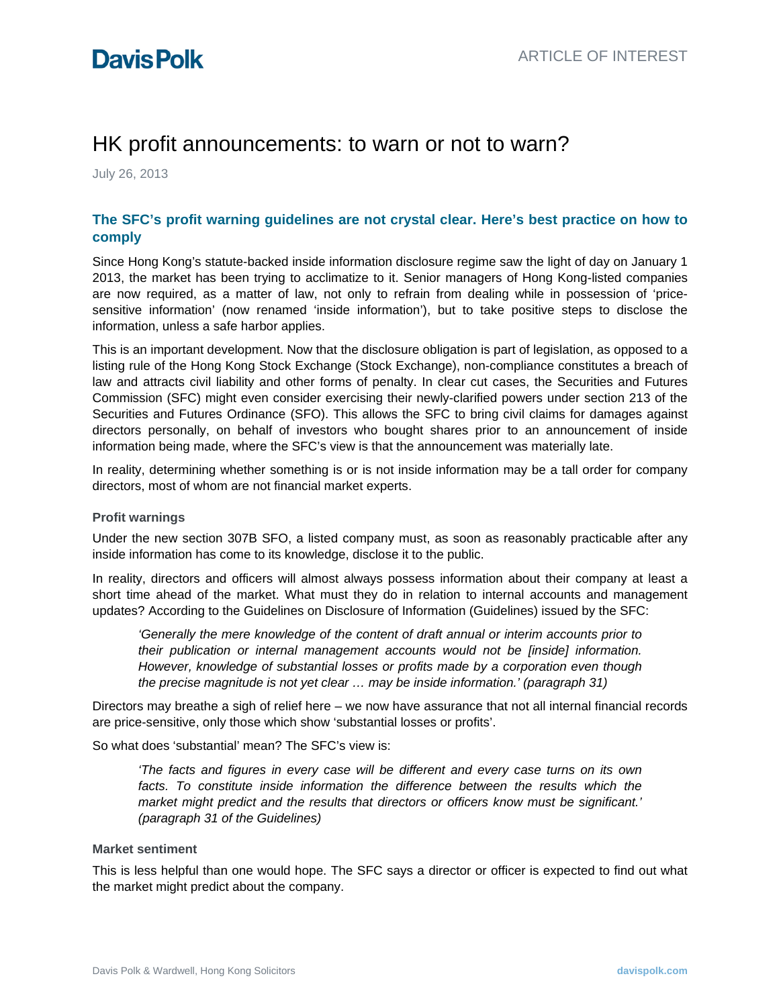# HK profit announcements: to warn or not to warn?

July 26, 2013

### **The SFC's profit warning guidelines are not crystal clear. Here's best practice on how to comply**

Since Hong Kong's statute-backed inside information disclosure regime saw the light of day on January 1 2013, the market has been trying to acclimatize to it. Senior managers of Hong Kong-listed companies are now required, as a matter of law, not only to refrain from dealing while in possession of 'pricesensitive information' (now renamed 'inside information'), but to take positive steps to disclose the information, unless a safe harbor applies.

This is an important development. Now that the disclosure obligation is part of legislation, as opposed to a listing rule of the Hong Kong Stock Exchange (Stock Exchange), non-compliance constitutes a breach of law and attracts civil liability and other forms of penalty. In clear cut cases, the Securities and Futures Commission (SFC) might even consider exercising their newly-clarified powers under section 213 of the Securities and Futures Ordinance (SFO). This allows the SFC to bring civil claims for damages against directors personally, on behalf of investors who bought shares prior to an announcement of inside information being made, where the SFC's view is that the announcement was materially late.

In reality, determining whether something is or is not inside information may be a tall order for company directors, most of whom are not financial market experts.

#### **Profit warnings**

Under the new section 307B SFO, a listed company must, as soon as reasonably practicable after any inside information has come to its knowledge, disclose it to the public.

In reality, directors and officers will almost always possess information about their company at least a short time ahead of the market. What must they do in relation to internal accounts and management updates? According to the Guidelines on Disclosure of Information (Guidelines) issued by the SFC:

*'Generally the mere knowledge of the content of draft annual or interim accounts prior to their publication or internal management accounts would not be [inside] information. However, knowledge of substantial losses or profits made by a corporation even though the precise magnitude is not yet clear … may be inside information.' (paragraph 31)*

Directors may breathe a sigh of relief here – we now have assurance that not all internal financial records are price-sensitive, only those which show 'substantial losses or profits'.

So what does 'substantial' mean? The SFC's view is:

*'The facts and figures in every case will be different and every case turns on its own*  facts. To constitute inside information the difference between the results which the *market might predict and the results that directors or officers know must be significant.' (paragraph 31 of the Guidelines)*

#### **Market sentiment**

This is less helpful than one would hope. The SFC says a director or officer is expected to find out what the market might predict about the company.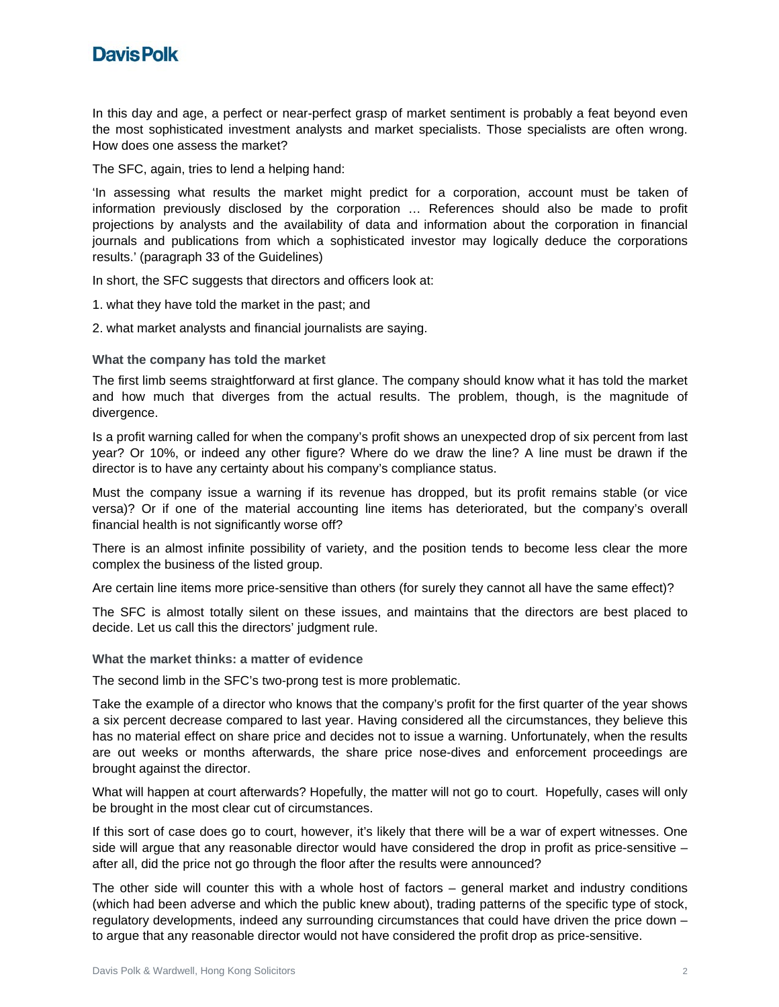

In this day and age, a perfect or near-perfect grasp of market sentiment is probably a feat beyond even the most sophisticated investment analysts and market specialists. Those specialists are often wrong. How does one assess the market?

The SFC, again, tries to lend a helping hand:

'In assessing what results the market might predict for a corporation, account must be taken of information previously disclosed by the corporation … References should also be made to profit projections by analysts and the availability of data and information about the corporation in financial journals and publications from which a sophisticated investor may logically deduce the corporations results.' (paragraph 33 of the Guidelines)

In short, the SFC suggests that directors and officers look at:

1. what they have told the market in the past; and

2. what market analysts and financial journalists are saying.

**What the company has told the market**

The first limb seems straightforward at first glance. The company should know what it has told the market and how much that diverges from the actual results. The problem, though, is the magnitude of divergence.

Is a profit warning called for when the company's profit shows an unexpected drop of six percent from last year? Or 10%, or indeed any other figure? Where do we draw the line? A line must be drawn if the director is to have any certainty about his company's compliance status.

Must the company issue a warning if its revenue has dropped, but its profit remains stable (or vice versa)? Or if one of the material accounting line items has deteriorated, but the company's overall financial health is not significantly worse off?

There is an almost infinite possibility of variety, and the position tends to become less clear the more complex the business of the listed group.

Are certain line items more price-sensitive than others (for surely they cannot all have the same effect)?

The SFC is almost totally silent on these issues, and maintains that the directors are best placed to decide. Let us call this the directors' judgment rule.

**What the market thinks: a matter of evidence**

The second limb in the SFC's two-prong test is more problematic.

Take the example of a director who knows that the company's profit for the first quarter of the year shows a six percent decrease compared to last year. Having considered all the circumstances, they believe this has no material effect on share price and decides not to issue a warning. Unfortunately, when the results are out weeks or months afterwards, the share price nose-dives and enforcement proceedings are brought against the director.

What will happen at court afterwards? Hopefully, the matter will not go to court. Hopefully, cases will only be brought in the most clear cut of circumstances.

If this sort of case does go to court, however, it's likely that there will be a war of expert witnesses. One side will argue that any reasonable director would have considered the drop in profit as price-sensitive – after all, did the price not go through the floor after the results were announced?

The other side will counter this with a whole host of factors – general market and industry conditions (which had been adverse and which the public knew about), trading patterns of the specific type of stock, regulatory developments, indeed any surrounding circumstances that could have driven the price down – to argue that any reasonable director would not have considered the profit drop as price-sensitive.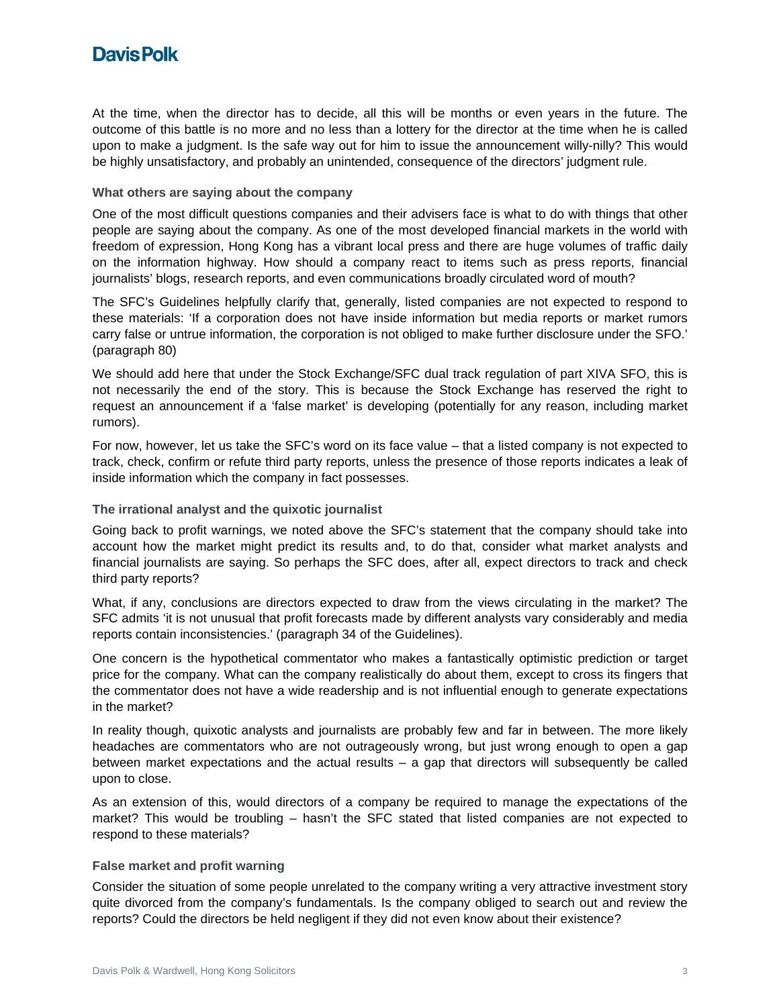## **DavisPolk**

At the time, when the director has to decide, all this will be months or even years in the future. The outcome of this battle is no more and no less than a lottery for the director at the time when he is called upon to make a judgment. Is the safe way out for him to issue the announcement willy-nilly? This would be highly unsatisfactory, and probably an unintended, consequence of the directors' judgment rule.

#### **What others are saying about the company**

One of the most difficult questions companies and their advisers face is what to do with things that other people are saying about the company. As one of the most developed financial markets in the world with freedom of expression, Hong Kong has a vibrant local press and there are huge volumes of traffic daily on the information highway. How should a company react to items such as press reports, financial journalists' blogs, research reports, and even communications broadly circulated word of mouth?

The SFC's Guidelines helpfully clarify that, generally, listed companies are not expected to respond to these materials: 'If a corporation does not have inside information but media reports or market rumors carry false or untrue information, the corporation is not obliged to make further disclosure under the SFO.' (paragraph 80)

We should add here that under the Stock Exchange/SFC dual track regulation of part XIVA SFO, this is not necessarily the end of the story. This is because the Stock Exchange has reserved the right to request an announcement if a 'false market' is developing (potentially for any reason, including market rumors).

For now, however, let us take the SFC's word on its face value – that a listed company is not expected to track, check, confirm or refute third party reports, unless the presence of those reports indicates a leak of inside information which the company in fact possesses.

#### **The irrational analyst and the quixotic journalist**

Going back to profit warnings, we noted above the SFC's statement that the company should take into account how the market might predict its results and, to do that, consider what market analysts and financial journalists are saying. So perhaps the SFC does, after all, expect directors to track and check third party reports?

What, if any, conclusions are directors expected to draw from the views circulating in the market? The SFC admits 'it is not unusual that profit forecasts made by different analysts vary considerably and media reports contain inconsistencies.' (paragraph 34 of the Guidelines).

One concern is the hypothetical commentator who makes a fantastically optimistic prediction or target price for the company. What can the company realistically do about them, except to cross its fingers that the commentator does not have a wide readership and is not influential enough to generate expectations in the market?

In reality though, quixotic analysts and journalists are probably few and far in between. The more likely headaches are commentators who are not outrageously wrong, but just wrong enough to open a gap between market expectations and the actual results – a gap that directors will subsequently be called upon to close.

As an extension of this, would directors of a company be required to manage the expectations of the market? This would be troubling – hasn't the SFC stated that listed companies are not expected to respond to these materials?

#### **False market and profit warning**

Consider the situation of some people unrelated to the company writing a very attractive investment story quite divorced from the company's fundamentals. Is the company obliged to search out and review the reports? Could the directors be held negligent if they did not even know about their existence?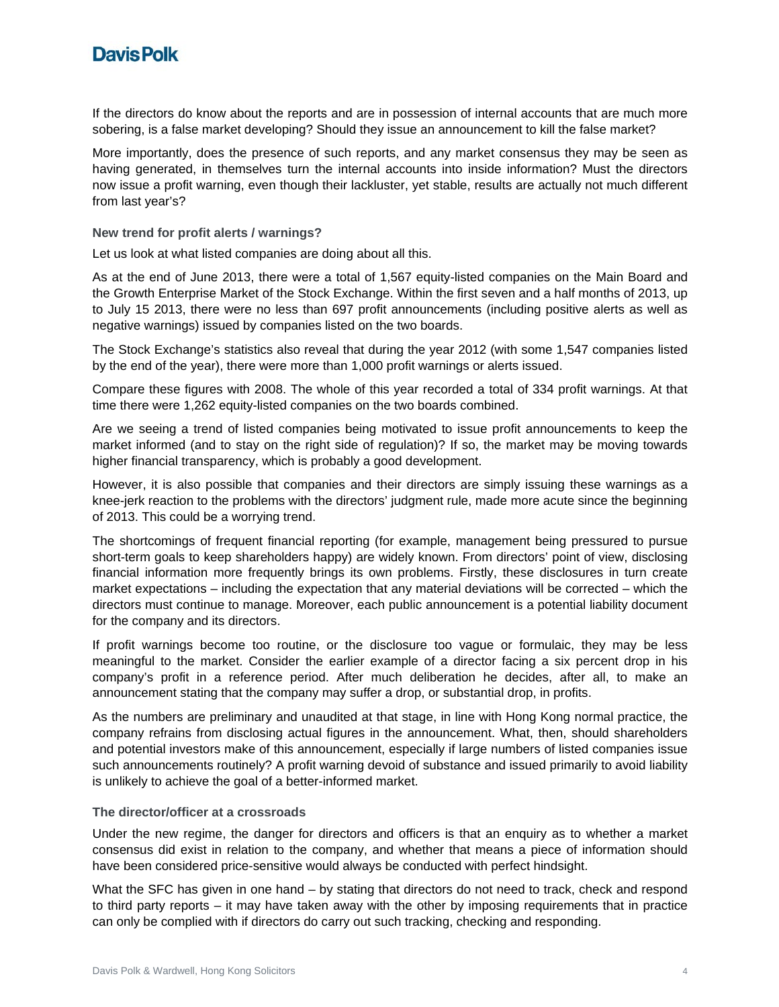## **DavisPolk**

If the directors do know about the reports and are in possession of internal accounts that are much more sobering, is a false market developing? Should they issue an announcement to kill the false market?

More importantly, does the presence of such reports, and any market consensus they may be seen as having generated, in themselves turn the internal accounts into inside information? Must the directors now issue a profit warning, even though their lackluster, yet stable, results are actually not much different from last year's?

**New trend for profit alerts / warnings?**

Let us look at what listed companies are doing about all this.

As at the end of June 2013, there were a total of 1,567 equity-listed companies on the Main Board and the Growth Enterprise Market of the Stock Exchange. Within the first seven and a half months of 2013, up to July 15 2013, there were no less than 697 profit announcements (including positive alerts as well as negative warnings) issued by companies listed on the two boards.

The Stock Exchange's statistics also reveal that during the year 2012 (with some 1,547 companies listed by the end of the year), there were more than 1,000 profit warnings or alerts issued.

Compare these figures with 2008. The whole of this year recorded a total of 334 profit warnings. At that time there were 1,262 equity-listed companies on the two boards combined.

Are we seeing a trend of listed companies being motivated to issue profit announcements to keep the market informed (and to stay on the right side of regulation)? If so, the market may be moving towards higher financial transparency, which is probably a good development.

However, it is also possible that companies and their directors are simply issuing these warnings as a knee-jerk reaction to the problems with the directors' judgment rule, made more acute since the beginning of 2013. This could be a worrying trend.

The shortcomings of frequent financial reporting (for example, management being pressured to pursue short-term goals to keep shareholders happy) are widely known. From directors' point of view, disclosing financial information more frequently brings its own problems. Firstly, these disclosures in turn create market expectations – including the expectation that any material deviations will be corrected – which the directors must continue to manage. Moreover, each public announcement is a potential liability document for the company and its directors.

If profit warnings become too routine, or the disclosure too vague or formulaic, they may be less meaningful to the market. Consider the earlier example of a director facing a six percent drop in his company's profit in a reference period. After much deliberation he decides, after all, to make an announcement stating that the company may suffer a drop, or substantial drop, in profits.

As the numbers are preliminary and unaudited at that stage, in line with Hong Kong normal practice, the company refrains from disclosing actual figures in the announcement. What, then, should shareholders and potential investors make of this announcement, especially if large numbers of listed companies issue such announcements routinely? A profit warning devoid of substance and issued primarily to avoid liability is unlikely to achieve the goal of a better-informed market.

#### **The director/officer at a crossroads**

Under the new regime, the danger for directors and officers is that an enquiry as to whether a market consensus did exist in relation to the company, and whether that means a piece of information should have been considered price-sensitive would always be conducted with perfect hindsight.

What the SFC has given in one hand – by stating that directors do not need to track, check and respond to third party reports – it may have taken away with the other by imposing requirements that in practice can only be complied with if directors do carry out such tracking, checking and responding.